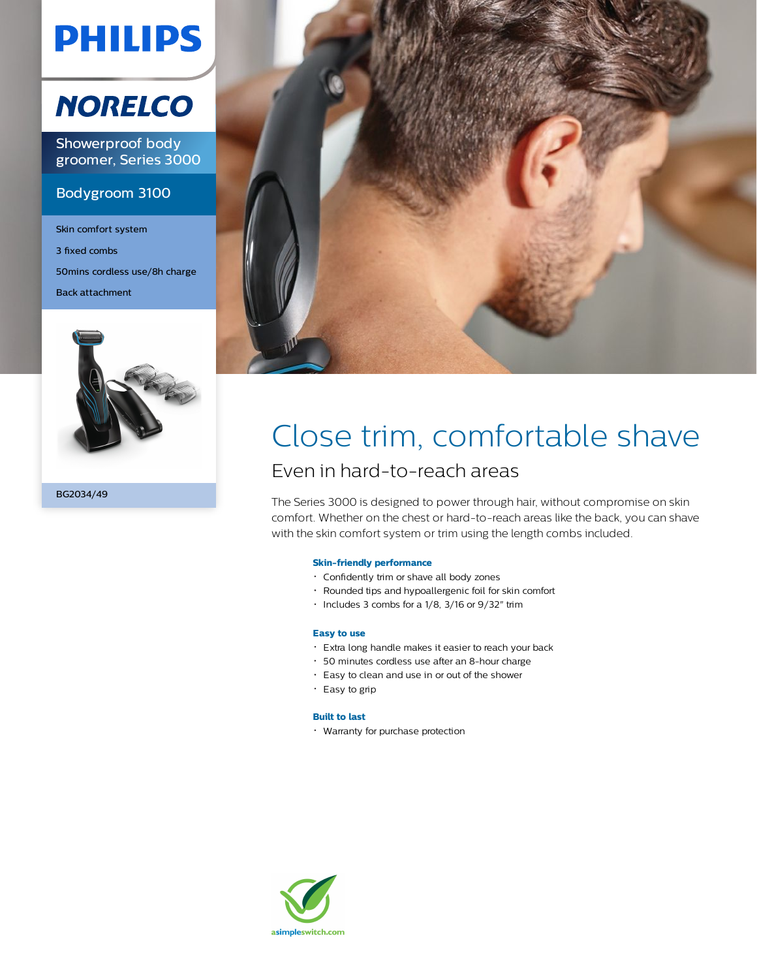# **PHILIPS**

# **NORELCO**

Showerproof body groomer, Series 3000

Bodygroom 3100

Skin comfort system 3 fixed combs 50mins cordless use/8h charge Back attachment



BG2034/49



# Close trim, comfortable shave Even in hard-to-reach areas

The Series 3000 is designed to power through hair, without compromise on skin comfort. Whether on the chest or hard-to-reach areas like the back, you can shave with the skin comfort system or trim using the length combs included.

# **Skin-friendly performance**

- Confidently trim or shave all body zones
- Rounded tips and hypoallergenic foil for skin comfort
- $\cdot$  Includes 3 combs for a 1/8, 3/16 or 9/32" trim

### **Easy to use**

- Extra long handle makes it easier to reach your back
- 50 minutes cordless use after an 8-hour charge
- Easy to clean and use in or out of the shower
- Easy to grip

### **Built to last**

Warranty for purchase protection

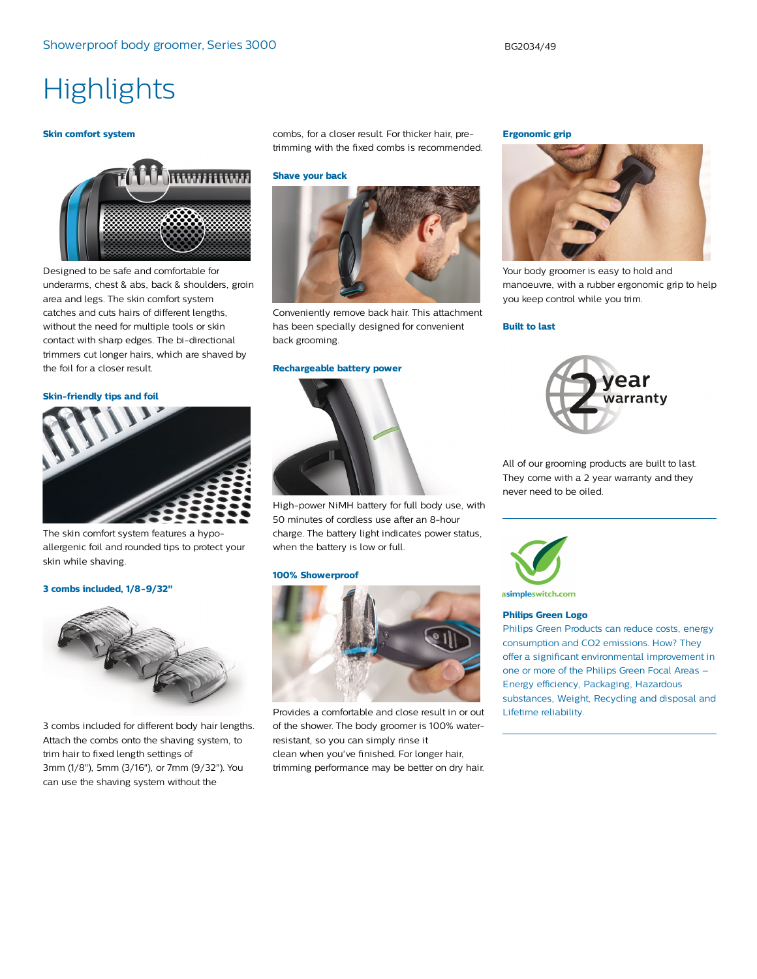# **Highlights**

#### **Skin comfort system**



Designed to be safe and comfortable for underarms, chest & abs, back & shoulders, groin area and legs. The skin comfort system catches and cuts hairs of different lengths, without the need for multiple tools or skin contact with sharp edges. The bi-directional trimmers cut longer hairs, which are shaved by the foil for a closer result.

#### **Skin-friendly tips and foil**



The skin comfort system features a hypoallergenic foil and rounded tips to protect your skin while shaving.

# **3 combs included, 1/8-9/32"**



3 combs included for different body hair lengths. Attach the combs onto the shaving system, to trim hair to fixed length settings of 3mm (1/8"), 5mm (3/16"), or 7mm (9/32"). You can use the shaving system without the

combs, for a closer result. For thicker hair, pretrimming with the fixed combs is recommended.

#### **Shave your back**



Conveniently remove back hair. This attachment has been specially designed for convenient back grooming.

#### **Rechargeable battery power**



High-power NiMH battery for full body use, with 50 minutes of cordless use after an 8-hour charge. The battery light indicates power status, when the battery is low or full.

#### **100% Showerproof**



Provides a comfortable and close result in or out of the shower. The body groomer is 100% waterresistant, so you can simply rinse it clean when you've finished. For longer hair, trimming performance may be better on dry hair.

#### **Ergonomic grip**



Your body groomer is easy to hold and manoeuvre, with a rubber ergonomic grip to help you keep control while you trim.

#### **Built to last**



All of our grooming products are built to last. They come with a 2 year warranty and they never need to be oiled.



asimpleswitch.com

#### **Philips Green Logo**

Philips Green Products can reduce costs, energy consumption and CO2 emissions. How? They offer a significant environmental improvement in one or more of the Philips Green Focal Areas – Energy efficiency, Packaging, Hazardous substances, Weight, Recycling and disposal and Lifetime reliability.